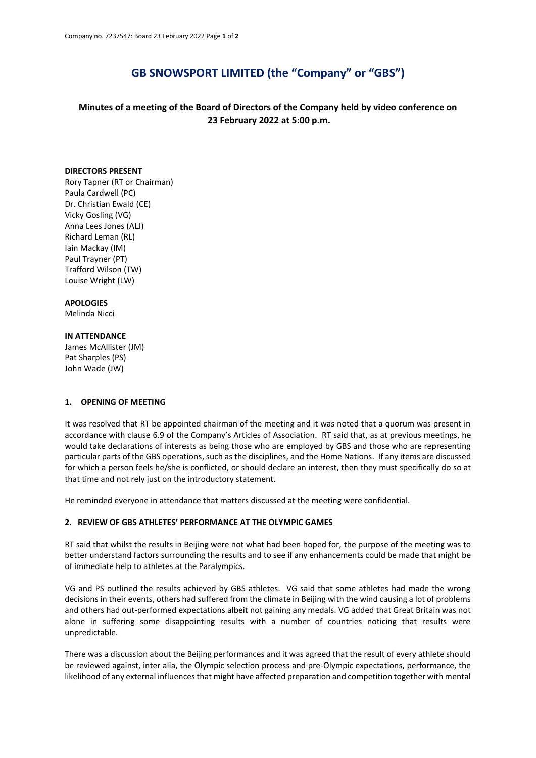# **GB SNOWSPORT LIMITED (the "Company" or "GBS")**

# **Minutes of a meeting of the Board of Directors of the Company held by video conference on 23 February 2022 at 5:00 p.m.**

# **DIRECTORS PRESENT**

Rory Tapner (RT or Chairman) Paula Cardwell (PC) Dr. Christian Ewald (CE) Vicky Gosling (VG) Anna Lees Jones (ALJ) Richard Leman (RL) Iain Mackay (IM) Paul Trayner (PT) Trafford Wilson (TW) Louise Wright (LW)

### **APOLOGIES**

Melinda Nicci

#### **IN ATTENDANCE**

James McAllister (JM) Pat Sharples (PS) John Wade (JW)

# **1. OPENING OF MEETING**

It was resolved that RT be appointed chairman of the meeting and it was noted that a quorum was present in accordance with clause 6.9 of the Company's Articles of Association. RT said that, as at previous meetings, he would take declarations of interests as being those who are employed by GBS and those who are representing particular parts of the GBS operations, such as the disciplines, and the Home Nations. If any items are discussed for which a person feels he/she is conflicted, or should declare an interest, then they must specifically do so at that time and not rely just on the introductory statement.

He reminded everyone in attendance that matters discussed at the meeting were confidential.

#### **2. REVIEW OF GBS ATHLETES' PERFORMANCE AT THE OLYMPIC GAMES**

RT said that whilst the results in Beijing were not what had been hoped for, the purpose of the meeting was to better understand factors surrounding the results and to see if any enhancements could be made that might be of immediate help to athletes at the Paralympics.

VG and PS outlined the results achieved by GBS athletes. VG said that some athletes had made the wrong decisions in their events, others had suffered from the climate in Beijing with the wind causing a lot of problems and others had out-performed expectations albeit not gaining any medals. VG added that Great Britain was not alone in suffering some disappointing results with a number of countries noticing that results were unpredictable.

There was a discussion about the Beijing performances and it was agreed that the result of every athlete should be reviewed against, inter alia, the Olympic selection process and pre-Olympic expectations, performance, the likelihood of any external influences that might have affected preparation and competition together with mental